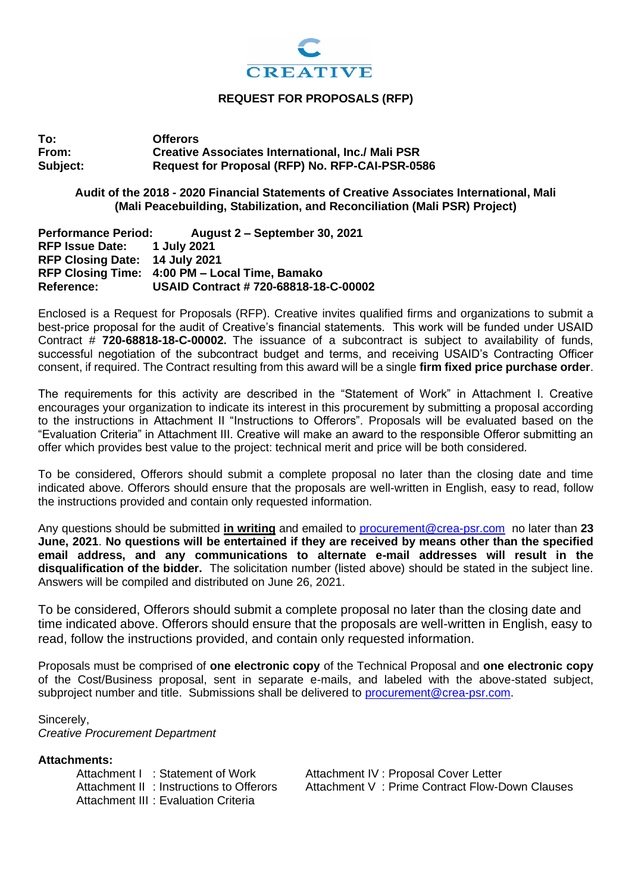

#### **REQUEST FOR PROPOSALS (RFP)**

**To: Offerors From: Creative Associates International, Inc./ Mali PSR Subject: Request for Proposal (RFP) No. RFP-CAI-PSR-0586**

## **Audit of the 2018 - 2020 Financial Statements of Creative Associates International, Mali (Mali Peacebuilding, Stabilization, and Reconciliation (Mali PSR) Project)**

**Performance Period: August 2 – September 30, 2021 RFP Issue Date: 1 July 2021 RFP Closing Date: 14 July 2021 RFP Closing Time: 4:00 PM – Local Time, Bamako Reference: USAID Contract # 720-68818-18-C-00002**

Enclosed is a Request for Proposals (RFP). Creative invites qualified firms and organizations to submit a best-price proposal for the audit of Creative's financial statements. This work will be funded under USAID Contract # **720-68818-18-C-00002.** The issuance of a subcontract is subject to availability of funds, successful negotiation of the subcontract budget and terms, and receiving USAID's Contracting Officer consent, if required. The Contract resulting from this award will be a single **firm fixed price purchase order**.

The requirements for this activity are described in the "Statement of Work" in Attachment I. Creative encourages your organization to indicate its interest in this procurement by submitting a proposal according to the instructions in Attachment II "Instructions to Offerors". Proposals will be evaluated based on the "Evaluation Criteria" in Attachment III. Creative will make an award to the responsible Offeror submitting an offer which provides best value to the project: technical merit and price will be both considered.

To be considered, Offerors should submit a complete proposal no later than the closing date and time indicated above. Offerors should ensure that the proposals are well-written in English, easy to read, follow the instructions provided and contain only requested information.

Any questions should be submitted **in writing** and emailed to [procurement@crea-psr.com](mailto:procurement@crea-psr.com) no later than **23 June, 2021**. **No questions will be entertained if they are received by means other than the specified email address, and any communications to alternate e-mail addresses will result in the disqualification of the bidder.** The solicitation number (listed above) should be stated in the subject line. Answers will be compiled and distributed on June 26, 2021.

To be considered, Offerors should submit a complete proposal no later than the closing date and time indicated above. Offerors should ensure that the proposals are well-written in English, easy to read, follow the instructions provided, and contain only requested information.

Proposals must be comprised of **one electronic copy** of the Technical Proposal and **one electronic copy**  of the Cost/Business proposal, sent in separate e-mails, and labeled with the above-stated subject, subproject number and title. Submissions shall be delivered to [procurement@crea-psr.com.](mailto:procurement@crea-psr.com)

Sincerely,

*Creative Procurement Department*

Attachments:<br>Attachment I : Statement of Work Attachment III : Evaluation Criteria

Attachment IV : Proposal Cover Letter Attachment II : Instructions to Offerors Attachment V : Prime Contract Flow-Down Clauses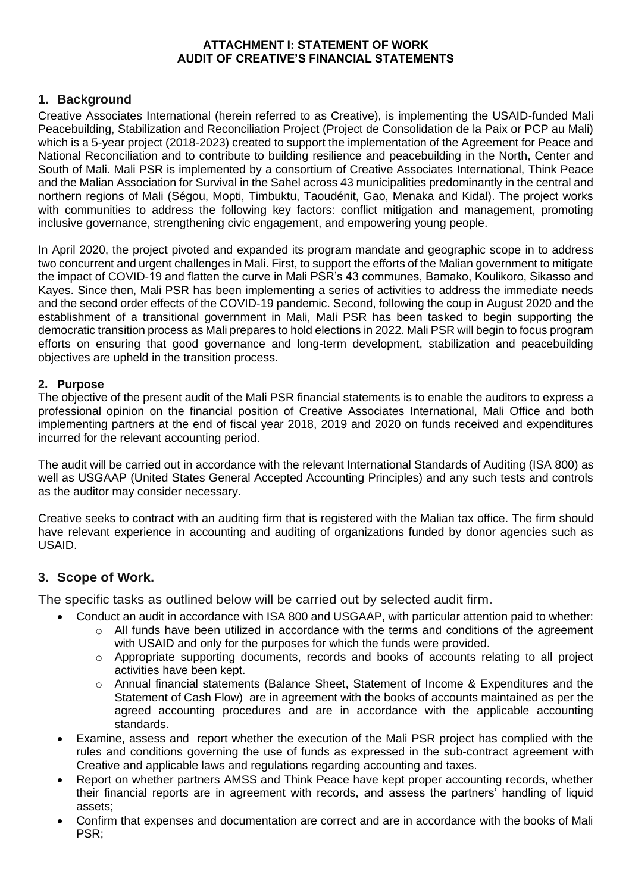## **ATTACHMENT I: STATEMENT OF WORK AUDIT OF CREATIVE'S FINANCIAL STATEMENTS**

# **1. Background**

Creative Associates International (herein referred to as Creative), is implementing the USAID-funded Mali Peacebuilding, Stabilization and Reconciliation Project (Project de Consolidation de la Paix or PCP au Mali) which is a 5-year project (2018-2023) created to support the implementation of the Agreement for Peace and National Reconciliation and to contribute to building resilience and peacebuilding in the North, Center and South of Mali. Mali PSR is implemented by a consortium of Creative Associates International, Think Peace and the Malian Association for Survival in the Sahel across 43 municipalities predominantly in the central and northern regions of Mali (Ségou, Mopti, Timbuktu, Taoudénit, Gao, Menaka and Kidal). The project works with communities to address the following key factors: conflict mitigation and management, promoting inclusive governance, strengthening civic engagement, and empowering young people.

In April 2020, the project pivoted and expanded its program mandate and geographic scope in to address two concurrent and urgent challenges in Mali. First, to support the efforts of the Malian government to mitigate the impact of COVID-19 and flatten the curve in Mali PSR's 43 communes, Bamako, Koulikoro, Sikasso and Kayes. Since then, Mali PSR has been implementing a series of activities to address the immediate needs and the second order effects of the COVID-19 pandemic. Second, following the coup in August 2020 and the establishment of a transitional government in Mali, Mali PSR has been tasked to begin supporting the democratic transition process as Mali prepares to hold elections in 2022. Mali PSR will begin to focus program efforts on ensuring that good governance and long-term development, stabilization and peacebuilding objectives are upheld in the transition process.

### **2. Purpose**

The objective of the present audit of the Mali PSR financial statements is to enable the auditors to express a professional opinion on the financial position of Creative Associates International, Mali Office and both implementing partners at the end of fiscal year 2018, 2019 and 2020 on funds received and expenditures incurred for the relevant accounting period.

The audit will be carried out in accordance with the relevant International Standards of Auditing (ISA 800) as well as USGAAP (United States General Accepted Accounting Principles) and any such tests and controls as the auditor may consider necessary.

Creative seeks to contract with an auditing firm that is registered with the Malian tax office. The firm should have relevant experience in accounting and auditing of organizations funded by donor agencies such as USAID.

### **3. Scope of Work.**

The specific tasks as outlined below will be carried out by selected audit firm.

- Conduct an audit in accordance with ISA 800 and USGAAP, with particular attention paid to whether:
	- $\circ$  All funds have been utilized in accordance with the terms and conditions of the agreement with USAID and only for the purposes for which the funds were provided.
	- $\circ$  Appropriate supporting documents, records and books of accounts relating to all project activities have been kept.
	- $\circ$  Annual financial statements (Balance Sheet, Statement of Income & Expenditures and the Statement of Cash Flow) are in agreement with the books of accounts maintained as per the agreed accounting procedures and are in accordance with the applicable accounting standards.
- Examine, assess and report whether the execution of the Mali PSR project has complied with the rules and conditions governing the use of funds as expressed in the sub-contract agreement with Creative and applicable laws and regulations regarding accounting and taxes.
- Report on whether partners AMSS and Think Peace have kept proper accounting records, whether their financial reports are in agreement with records, and assess the partners' handling of liquid assets;
- Confirm that expenses and documentation are correct and are in accordance with the books of Mali PSR;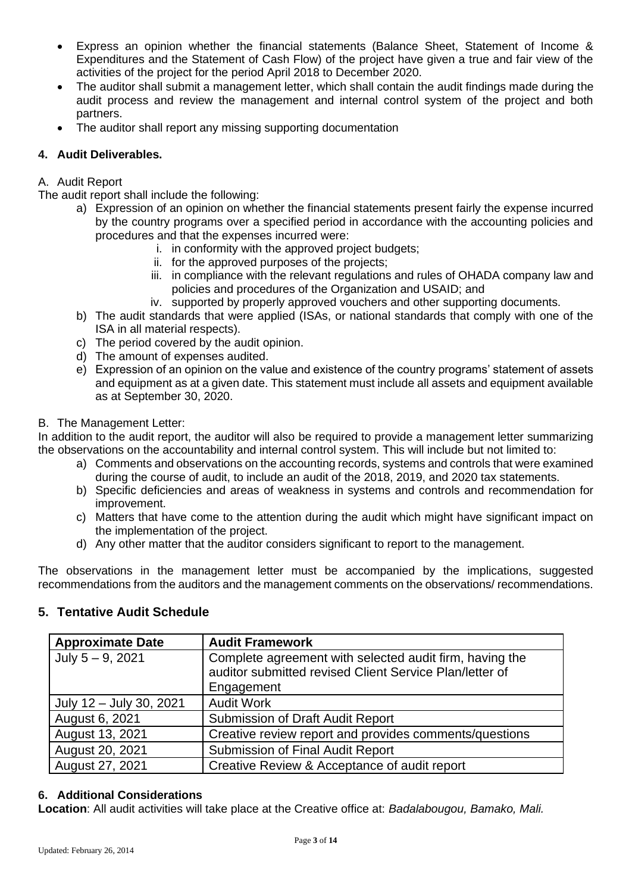- Express an opinion whether the financial statements (Balance Sheet, Statement of Income & Expenditures and the Statement of Cash Flow) of the project have given a true and fair view of the activities of the project for the period April 2018 to December 2020.
- The auditor shall submit a management letter, which shall contain the audit findings made during the audit process and review the management and internal control system of the project and both partners.
- The auditor shall report any missing supporting documentation

# **4. Audit Deliverables.**

# A. Audit Report

The audit report shall include the following:

- a) Expression of an opinion on whether the financial statements present fairly the expense incurred by the country programs over a specified period in accordance with the accounting policies and procedures and that the expenses incurred were:
	- i. in conformity with the approved project budgets;
	- ii. for the approved purposes of the projects;
	- iii. in compliance with the relevant regulations and rules of OHADA company law and policies and procedures of the Organization and USAID; and
	- iv. supported by properly approved vouchers and other supporting documents.
- b) The audit standards that were applied (ISAs, or national standards that comply with one of the ISA in all material respects).
- c) The period covered by the audit opinion.
- d) The amount of expenses audited.
- e) Expression of an opinion on the value and existence of the country programs' statement of assets and equipment as at a given date. This statement must include all assets and equipment available as at September 30, 2020.

### B. The Management Letter:

In addition to the audit report, the auditor will also be required to provide a management letter summarizing the observations on the accountability and internal control system. This will include but not limited to:

- a) Comments and observations on the accounting records, systems and controls that were examined during the course of audit, to include an audit of the 2018, 2019, and 2020 tax statements.
- b) Specific deficiencies and areas of weakness in systems and controls and recommendation for improvement.
- c) Matters that have come to the attention during the audit which might have significant impact on the implementation of the project.
- d) Any other matter that the auditor considers significant to report to the management.

The observations in the management letter must be accompanied by the implications, suggested recommendations from the auditors and the management comments on the observations/ recommendations.

# **5. Tentative Audit Schedule**

| <b>Approximate Date</b> | <b>Audit Framework</b>                                                                                                           |
|-------------------------|----------------------------------------------------------------------------------------------------------------------------------|
| July $5 - 9$ , 2021     | Complete agreement with selected audit firm, having the<br>auditor submitted revised Client Service Plan/letter of<br>Engagement |
| July 12 - July 30, 2021 | <b>Audit Work</b>                                                                                                                |
| August 6, 2021          | <b>Submission of Draft Audit Report</b>                                                                                          |
| August 13, 2021         | Creative review report and provides comments/questions                                                                           |
| August 20, 2021         | Submission of Final Audit Report                                                                                                 |
| August 27, 2021         | Creative Review & Acceptance of audit report                                                                                     |

### **6. Additional Considerations**

**Location**: All audit activities will take place at the Creative office at: *Badalabougou, Bamako, Mali.*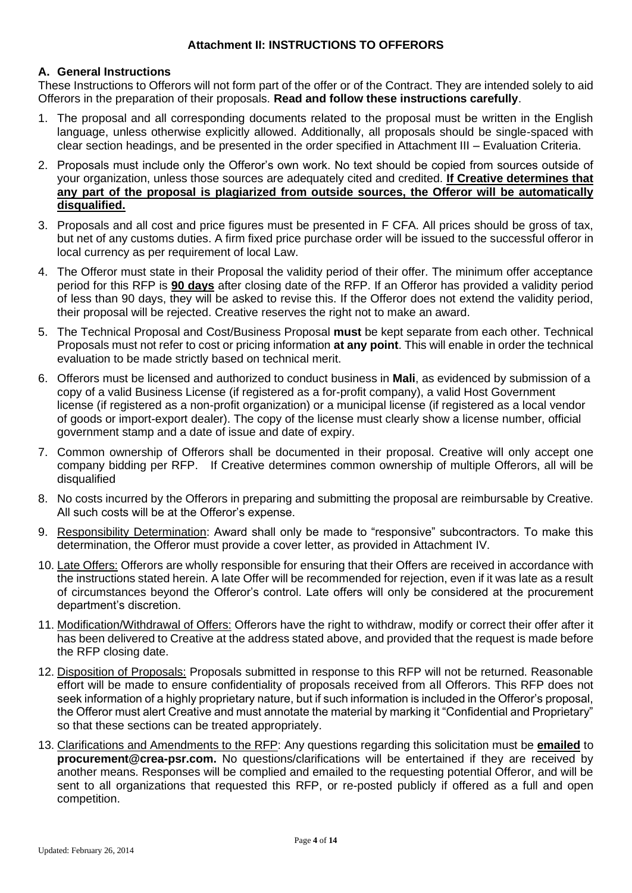#### **Attachment II: INSTRUCTIONS TO OFFERORS**

#### **A. General Instructions**

These Instructions to Offerors will not form part of the offer or of the Contract. They are intended solely to aid Offerors in the preparation of their proposals. **Read and follow these instructions carefully**.

- 1. The proposal and all corresponding documents related to the proposal must be written in the English language, unless otherwise explicitly allowed. Additionally, all proposals should be single-spaced with clear section headings, and be presented in the order specified in Attachment III – Evaluation Criteria.
- 2. Proposals must include only the Offeror's own work. No text should be copied from sources outside of your organization, unless those sources are adequately cited and credited. **If Creative determines that any part of the proposal is plagiarized from outside sources, the Offeror will be automatically disqualified.**
- 3. Proposals and all cost and price figures must be presented in F CFA. All prices should be gross of tax, but net of any customs duties. A firm fixed price purchase order will be issued to the successful offeror in local currency as per requirement of local Law.
- 4. The Offeror must state in their Proposal the validity period of their offer. The minimum offer acceptance period for this RFP is **90 days** after closing date of the RFP. If an Offeror has provided a validity period of less than 90 days, they will be asked to revise this. If the Offeror does not extend the validity period, their proposal will be rejected. Creative reserves the right not to make an award.
- 5. The Technical Proposal and Cost/Business Proposal **must** be kept separate from each other. Technical Proposals must not refer to cost or pricing information **at any point**. This will enable in order the technical evaluation to be made strictly based on technical merit.
- 6. Offerors must be licensed and authorized to conduct business in **Mali**, as evidenced by submission of a copy of a valid Business License (if registered as a for-profit company), a valid Host Government license (if registered as a non-profit organization) or a municipal license (if registered as a local vendor of goods or import-export dealer). The copy of the license must clearly show a license number, official government stamp and a date of issue and date of expiry.
- 7. Common ownership of Offerors shall be documented in their proposal. Creative will only accept one company bidding per RFP. If Creative determines common ownership of multiple Offerors, all will be disqualified
- 8. No costs incurred by the Offerors in preparing and submitting the proposal are reimbursable by Creative. All such costs will be at the Offeror's expense.
- 9. Responsibility Determination: Award shall only be made to "responsive" subcontractors. To make this determination, the Offeror must provide a cover letter, as provided in Attachment IV.
- 10. Late Offers: Offerors are wholly responsible for ensuring that their Offers are received in accordance with the instructions stated herein. A late Offer will be recommended for rejection, even if it was late as a result of circumstances beyond the Offeror's control. Late offers will only be considered at the procurement department's discretion.
- 11. Modification/Withdrawal of Offers: Offerors have the right to withdraw, modify or correct their offer after it has been delivered to Creative at the address stated above, and provided that the request is made before the RFP closing date.
- 12. Disposition of Proposals: Proposals submitted in response to this RFP will not be returned. Reasonable effort will be made to ensure confidentiality of proposals received from all Offerors. This RFP does not seek information of a highly proprietary nature, but if such information is included in the Offeror's proposal, the Offeror must alert Creative and must annotate the material by marking it "Confidential and Proprietary" so that these sections can be treated appropriately.
- 13. Clarifications and Amendments to the RFP: Any questions regarding this solicitation must be **emailed** to **procurement@crea-psr.com.** No questions/clarifications will be entertained if they are received by another means. Responses will be complied and emailed to the requesting potential Offeror, and will be sent to all organizations that requested this RFP, or re-posted publicly if offered as a full and open competition.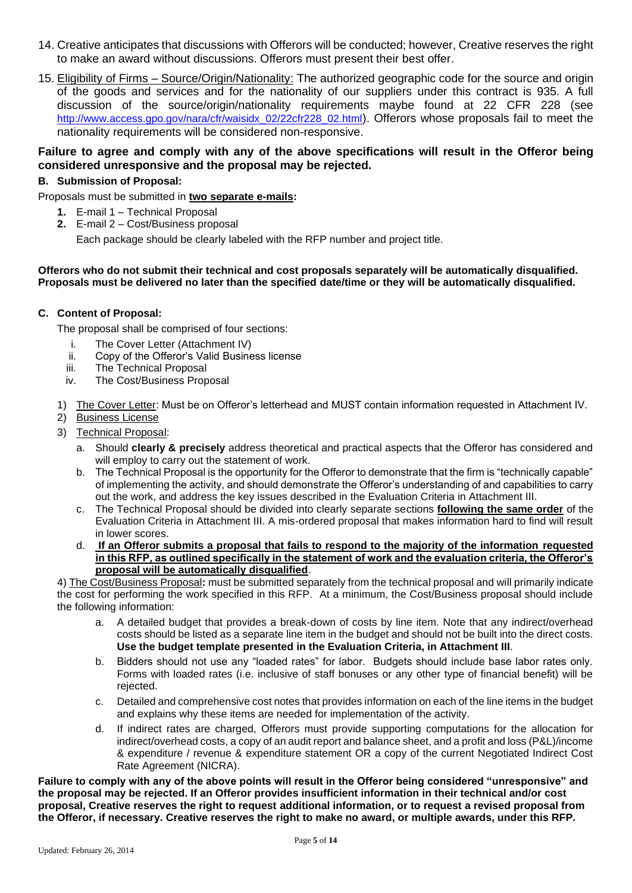- 14. Creative anticipates that discussions with Offerors will be conducted; however, Creative reserves the right to make an award without discussions. Offerors must present their best offer.
- 15. Eligibility of Firms Source/Origin/Nationality: The authorized geographic code for the source and origin of the goods and services and for the nationality of our suppliers under this contract is 935. A full discussion of the source/origin/nationality requirements maybe found at 22 CFR 228 (see [http://www.access.gpo.gov/nara/cfr/waisidx\\_02/22cfr228\\_02.html](http://www.access.gpo.gov/nara/cfr/waisidx_02/22cfr228_02.html)). Offerors whose proposals fail to meet the nationality requirements will be considered non-responsive.

#### **Failure to agree and comply with any of the above specifications will result in the Offeror being considered unresponsive and the proposal may be rejected.**

#### **B. Submission of Proposal:**

Proposals must be submitted in **two separate e-mails:**

- **1.** E-mail 1 Technical Proposal
- **2.** E-mail 2 Cost/Business proposal

Each package should be clearly labeled with the RFP number and project title.

#### **Offerors who do not submit their technical and cost proposals separately will be automatically disqualified. Proposals must be delivered no later than the specified date/time or they will be automatically disqualified.**

#### **C. Content of Proposal:**

The proposal shall be comprised of four sections:

- i. The Cover Letter (Attachment IV)
- ii. Copy of the Offeror's Valid Business license
- iii. The Technical Proposal
- iv. The Cost/Business Proposal
- 1) The Cover Letter: Must be on Offeror's letterhead and MUST contain information requested in Attachment IV.
- 2) Business License
- 3) Technical Proposal:
	- a. Should **clearly & precisely** address theoretical and practical aspects that the Offeror has considered and will employ to carry out the statement of work.
	- b. The Technical Proposal is the opportunity for the Offeror to demonstrate that the firm is "technically capable" of implementing the activity, and should demonstrate the Offeror's understanding of and capabilities to carry out the work, and address the key issues described in the Evaluation Criteria in Attachment III.
	- c. The Technical Proposal should be divided into clearly separate sections **following the same order** of the Evaluation Criteria in Attachment III. A mis-ordered proposal that makes information hard to find will result in lower scores.
	- d. **If an Offeror submits a proposal that fails to respond to the majority of the information requested in this RFP, as outlined specifically in the statement of work and the evaluation criteria, the Offeror's proposal will be automatically disqualified**.

4) The Cost/Business Proposal**:** must be submitted separately from the technical proposal and will primarily indicate the cost for performing the work specified in this RFP.At a minimum, the Cost/Business proposal should include the following information:

- a. A detailed budget that provides a break-down of costs by line item. Note that any indirect/overhead costs should be listed as a separate line item in the budget and should not be built into the direct costs. **Use the budget template presented in the Evaluation Criteria, in Attachment III**.
- b. Bidders should not use any "loaded rates" for labor. Budgets should include base labor rates only. Forms with loaded rates (i.e. inclusive of staff bonuses or any other type of financial benefit) will be rejected.
- c. Detailed and comprehensive cost notes that provides information on each of the line items in the budget and explains why these items are needed for implementation of the activity.
- d. If indirect rates are charged, Offerors must provide supporting computations for the allocation for indirect/overhead costs, a copy of an audit report and balance sheet, and a profit and loss (P&L)/income & expenditure / revenue & expenditure statement OR a copy of the current Negotiated Indirect Cost Rate Agreement (NICRA).

**Failure to comply with any of the above points will result in the Offeror being considered "unresponsive" and the proposal may be rejected. If an Offeror provides insufficient information in their technical and/or cost proposal, Creative reserves the right to request additional information, or to request a revised proposal from the Offeror, if necessary. Creative reserves the right to make no award, or multiple awards, under this RFP.**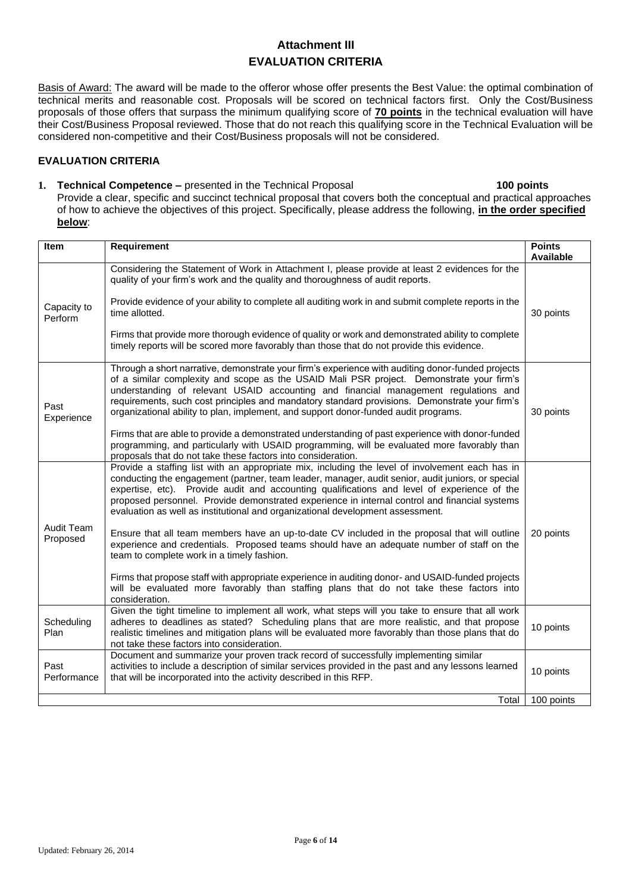# **Attachment III EVALUATION CRITERIA**

Basis of Award: The award will be made to the offeror whose offer presents the Best Value: the optimal combination of technical merits and reasonable cost. Proposals will be scored on technical factors first. Only the Cost/Business proposals of those offers that surpass the minimum qualifying score of **70 points** in the technical evaluation will have their Cost/Business Proposal reviewed. Those that do not reach this qualifying score in the Technical Evaluation will be considered non-competitive and their Cost/Business proposals will not be considered.

#### **EVALUATION CRITERIA**

**1. Technical Competence –** presented in the Technical Proposal **100 points** Provide a clear, specific and succinct technical proposal that covers both the conceptual and practical approaches of how to achieve the objectives of this project. Specifically, please address the following, **in the order specified below**:

| <b>Item</b>            | Requirement                                                                                                                                                                                                                                                                                                                                                                                                                                                                                                                                                                                                                                                                                                                                                                                                                                                                                                                                           | <b>Points</b><br><b>Available</b> |
|------------------------|-------------------------------------------------------------------------------------------------------------------------------------------------------------------------------------------------------------------------------------------------------------------------------------------------------------------------------------------------------------------------------------------------------------------------------------------------------------------------------------------------------------------------------------------------------------------------------------------------------------------------------------------------------------------------------------------------------------------------------------------------------------------------------------------------------------------------------------------------------------------------------------------------------------------------------------------------------|-----------------------------------|
| Capacity to<br>Perform | Considering the Statement of Work in Attachment I, please provide at least 2 evidences for the<br>quality of your firm's work and the quality and thoroughness of audit reports.<br>Provide evidence of your ability to complete all auditing work in and submit complete reports in the<br>time allotted.<br>Firms that provide more thorough evidence of quality or work and demonstrated ability to complete<br>timely reports will be scored more favorably than those that do not provide this evidence.                                                                                                                                                                                                                                                                                                                                                                                                                                         | 30 points                         |
| Past<br>Experience     | Through a short narrative, demonstrate your firm's experience with auditing donor-funded projects<br>of a similar complexity and scope as the USAID Mali PSR project. Demonstrate your firm's<br>understanding of relevant USAID accounting and financial management regulations and<br>requirements, such cost principles and mandatory standard provisions. Demonstrate your firm's<br>organizational ability to plan, implement, and support donor-funded audit programs.<br>Firms that are able to provide a demonstrated understanding of past experience with donor-funded<br>programming, and particularly with USAID programming, will be evaluated more favorably than<br>proposals that do not take these factors into consideration.                                                                                                                                                                                                       | 30 points                         |
| Audit Team<br>Proposed | Provide a staffing list with an appropriate mix, including the level of involvement each has in<br>conducting the engagement (partner, team leader, manager, audit senior, audit juniors, or special<br>expertise, etc). Provide audit and accounting qualifications and level of experience of the<br>proposed personnel. Provide demonstrated experience in internal control and financial systems<br>evaluation as well as institutional and organizational development assessment.<br>Ensure that all team members have an up-to-date CV included in the proposal that will outline<br>experience and credentials. Proposed teams should have an adequate number of staff on the<br>team to complete work in a timely fashion.<br>Firms that propose staff with appropriate experience in auditing donor- and USAID-funded projects<br>will be evaluated more favorably than staffing plans that do not take these factors into<br>consideration. | 20 points                         |
| Scheduling<br>Plan     | Given the tight timeline to implement all work, what steps will you take to ensure that all work<br>adheres to deadlines as stated? Scheduling plans that are more realistic, and that propose<br>realistic timelines and mitigation plans will be evaluated more favorably than those plans that do<br>not take these factors into consideration.                                                                                                                                                                                                                                                                                                                                                                                                                                                                                                                                                                                                    | 10 points                         |
| Past<br>Performance    | Document and summarize your proven track record of successfully implementing similar<br>activities to include a description of similar services provided in the past and any lessons learned<br>that will be incorporated into the activity described in this RFP.                                                                                                                                                                                                                                                                                                                                                                                                                                                                                                                                                                                                                                                                                    | 10 points                         |
|                        | Total                                                                                                                                                                                                                                                                                                                                                                                                                                                                                                                                                                                                                                                                                                                                                                                                                                                                                                                                                 | 100 points                        |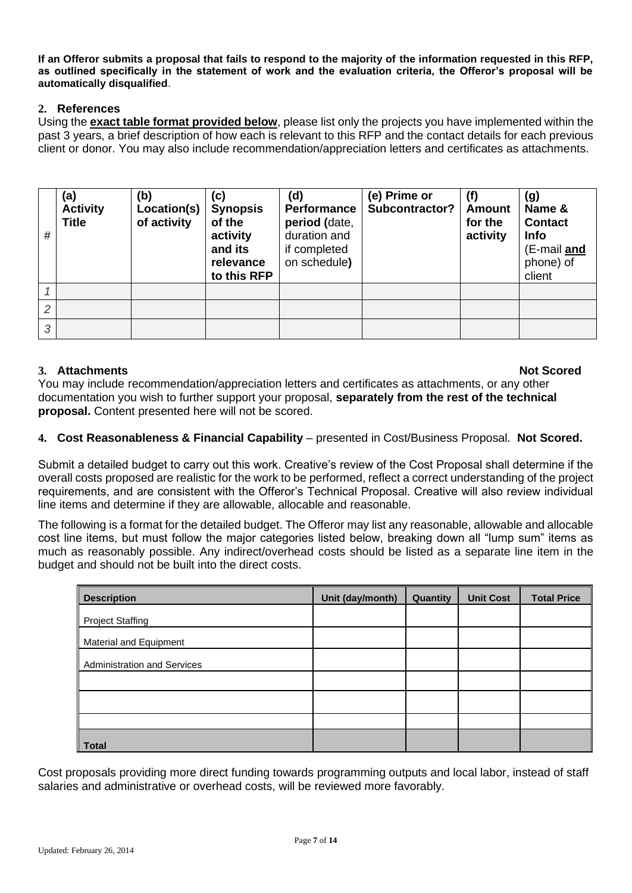**If an Offeror submits a proposal that fails to respond to the majority of the information requested in this RFP, as outlined specifically in the statement of work and the evaluation criteria, the Offeror's proposal will be automatically disqualified**.

## **2. References**

Using the **exact table format provided below**, please list only the projects you have implemented within the past 3 years, a brief description of how each is relevant to this RFP and the contact details for each previous client or donor. You may also include recommendation/appreciation letters and certificates as attachments.

| # | (a)<br><b>Activity</b><br><b>Title</b> | (b)<br>Location(s)<br>of activity | (c)<br><b>Synopsis</b><br>of the<br>activity<br>and its<br>relevance<br>to this RFP | (d)<br><b>Performance</b><br>period (date,<br>duration and<br>if completed<br>on schedule) | (e) Prime or<br>Subcontractor? | (f)<br><b>Amount</b><br>for the<br>activity | (g)<br>Name &<br><b>Contact</b><br>Info<br>(E-mail and<br>phone) of<br>client |
|---|----------------------------------------|-----------------------------------|-------------------------------------------------------------------------------------|--------------------------------------------------------------------------------------------|--------------------------------|---------------------------------------------|-------------------------------------------------------------------------------|
|   |                                        |                                   |                                                                                     |                                                                                            |                                |                                             |                                                                               |
| 2 |                                        |                                   |                                                                                     |                                                                                            |                                |                                             |                                                                               |
| 3 |                                        |                                   |                                                                                     |                                                                                            |                                |                                             |                                                                               |

# **3.** Attachments **Not Scored Not Scored Not Scored**

You may include recommendation/appreciation letters and certificates as attachments, or any other documentation you wish to further support your proposal, **separately from the rest of the technical proposal.** Content presented here will not be scored.

# **4. Cost Reasonableness & Financial Capability** – presented in Cost/Business Proposal. **Not Scored.**

Submit a detailed budget to carry out this work. Creative's review of the Cost Proposal shall determine if the overall costs proposed are realistic for the work to be performed, reflect a correct understanding of the project requirements, and are consistent with the Offeror's Technical Proposal. Creative will also review individual line items and determine if they are allowable, allocable and reasonable.

The following is a format for the detailed budget. The Offeror may list any reasonable, allowable and allocable cost line items, but must follow the major categories listed below, breaking down all "lump sum" items as much as reasonably possible. Any indirect/overhead costs should be listed as a separate line item in the budget and should not be built into the direct costs.

| <b>Description</b>                 | Unit (day/month) | Quantity | <b>Unit Cost</b> | <b>Total Price</b> |
|------------------------------------|------------------|----------|------------------|--------------------|
| <b>Project Staffing</b>            |                  |          |                  |                    |
| Material and Equipment             |                  |          |                  |                    |
| <b>Administration and Services</b> |                  |          |                  |                    |
|                                    |                  |          |                  |                    |
|                                    |                  |          |                  |                    |
|                                    |                  |          |                  |                    |
| Total                              |                  |          |                  |                    |

Cost proposals providing more direct funding towards programming outputs and local labor, instead of staff salaries and administrative or overhead costs, will be reviewed more favorably.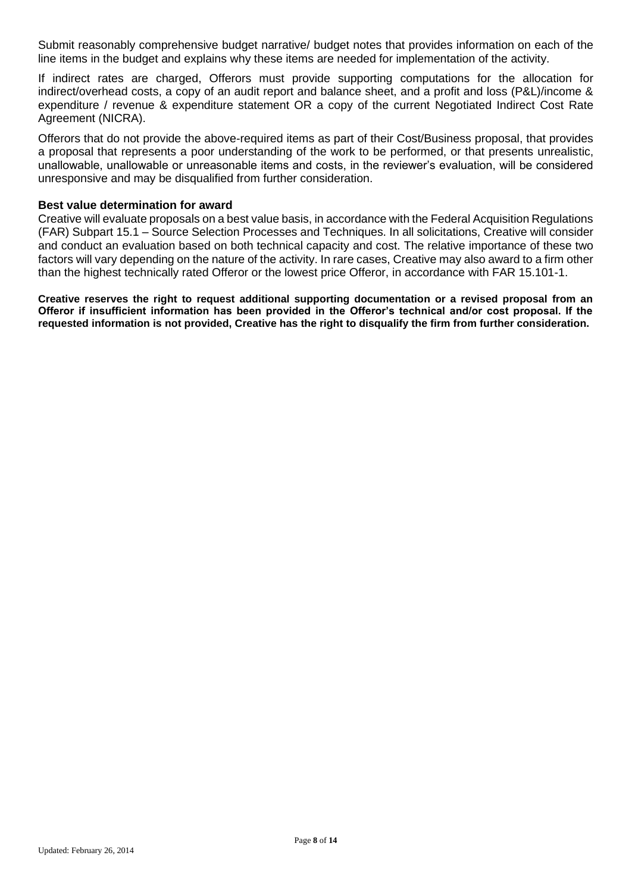Submit reasonably comprehensive budget narrative/ budget notes that provides information on each of the line items in the budget and explains why these items are needed for implementation of the activity.

If indirect rates are charged, Offerors must provide supporting computations for the allocation for indirect/overhead costs, a copy of an audit report and balance sheet, and a profit and loss (P&L)/income & expenditure / revenue & expenditure statement OR a copy of the current Negotiated Indirect Cost Rate Agreement (NICRA).

Offerors that do not provide the above-required items as part of their Cost/Business proposal, that provides a proposal that represents a poor understanding of the work to be performed, or that presents unrealistic, unallowable, unallowable or unreasonable items and costs, in the reviewer's evaluation, will be considered unresponsive and may be disqualified from further consideration.

#### **Best value determination for award**

Creative will evaluate proposals on a best value basis, in accordance with the Federal Acquisition Regulations (FAR) Subpart 15.1 – Source Selection Processes and Techniques. In all solicitations, Creative will consider and conduct an evaluation based on both technical capacity and cost. The relative importance of these two factors will vary depending on the nature of the activity. In rare cases, Creative may also award to a firm other than the highest technically rated Offeror or the lowest price Offeror, in accordance with FAR 15.101-1.

**Creative reserves the right to request additional supporting documentation or a revised proposal from an Offeror if insufficient information has been provided in the Offeror's technical and/or cost proposal. If the requested information is not provided, Creative has the right to disqualify the firm from further consideration.**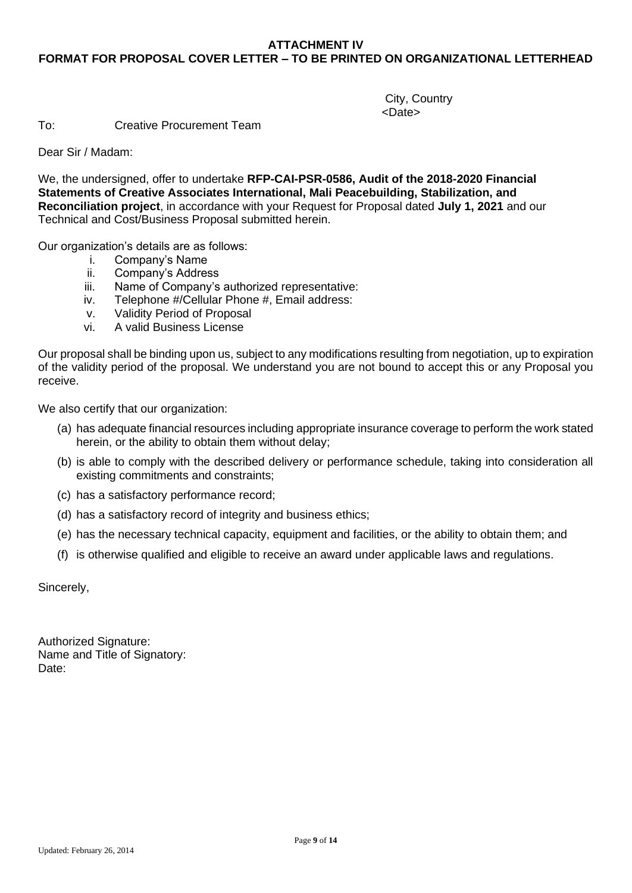## **ATTACHMENT IV FORMAT FOR PROPOSAL COVER LETTER – TO BE PRINTED ON ORGANIZATIONAL LETTERHEAD**

City, Country <Date>

To: Creative Procurement Team

Dear Sir / Madam:

We, the undersigned, offer to undertake **RFP-CAI-PSR-0586, Audit of the 2018-2020 Financial Statements of Creative Associates International, Mali Peacebuilding, Stabilization, and Reconciliation project**, in accordance with your Request for Proposal dated **July 1, 2021** and our Technical and Cost/Business Proposal submitted herein.

Our organization's details are as follows:

- i. Company's Name<br>ii. Company's Addres
- Company's Address
- iii. Name of Company's authorized representative:
- iv. Telephone #/Cellular Phone #, Email address:
- v. Validity Period of Proposal
- vi. A valid Business License

Our proposal shall be binding upon us, subject to any modifications resulting from negotiation, up to expiration of the validity period of the proposal. We understand you are not bound to accept this or any Proposal you receive.

We also certify that our organization:

- (a) has adequate financial resources including appropriate insurance coverage to perform the work stated herein, or the ability to obtain them without delay;
- (b) is able to comply with the described delivery or performance schedule, taking into consideration all existing commitments and constraints;
- (c) has a satisfactory performance record;
- (d) has a satisfactory record of integrity and business ethics;
- (e) has the necessary technical capacity, equipment and facilities, or the ability to obtain them; and
- (f) is otherwise qualified and eligible to receive an award under applicable laws and regulations.

Sincerely,

Authorized Signature: Name and Title of Signatory: Date: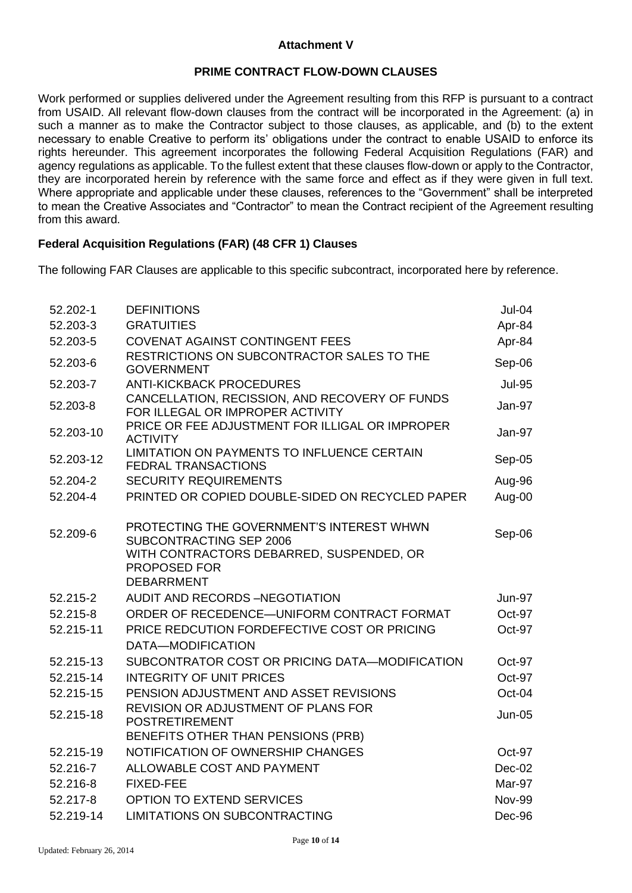### **Attachment V**

### **PRIME CONTRACT FLOW-DOWN CLAUSES**

Work performed or supplies delivered under the Agreement resulting from this RFP is pursuant to a contract from USAID. All relevant flow-down clauses from the contract will be incorporated in the Agreement: (a) in such a manner as to make the Contractor subject to those clauses, as applicable, and (b) to the extent necessary to enable Creative to perform its' obligations under the contract to enable USAID to enforce its rights hereunder. This agreement incorporates the following Federal Acquisition Regulations (FAR) and agency regulations as applicable. To the fullest extent that these clauses flow-down or apply to the Contractor, they are incorporated herein by reference with the same force and effect as if they were given in full text. Where appropriate and applicable under these clauses, references to the "Government" shall be interpreted to mean the Creative Associates and "Contractor" to mean the Contract recipient of the Agreement resulting from this award.

### **Federal Acquisition Regulations (FAR) (48 CFR 1) Clauses**

The following FAR Clauses are applicable to this specific subcontract, incorporated here by reference.

| 52.202-1  | <b>DEFINITIONS</b>                                                                                                                                    | Jul-04        |
|-----------|-------------------------------------------------------------------------------------------------------------------------------------------------------|---------------|
| 52.203-3  | <b>GRATUITIES</b>                                                                                                                                     | Apr-84        |
| 52.203-5  | <b>COVENAT AGAINST CONTINGENT FEES</b>                                                                                                                | Apr-84        |
| 52.203-6  | RESTRICTIONS ON SUBCONTRACTOR SALES TO THE<br><b>GOVERNMENT</b>                                                                                       | Sep-06        |
| 52.203-7  | <b>ANTI-KICKBACK PROCEDURES</b>                                                                                                                       | <b>Jul-95</b> |
| 52.203-8  | CANCELLATION, RECISSION, AND RECOVERY OF FUNDS<br>FOR ILLEGAL OR IMPROPER ACTIVITY                                                                    | Jan-97        |
| 52.203-10 | PRICE OR FEE ADJUSTMENT FOR ILLIGAL OR IMPROPER<br><b>ACTIVITY</b>                                                                                    | Jan-97        |
| 52.203-12 | LIMITATION ON PAYMENTS TO INFLUENCE CERTAIN<br><b>FEDRAL TRANSACTIONS</b>                                                                             | Sep-05        |
| 52.204-2  | <b>SECURITY REQUIREMENTS</b>                                                                                                                          | Aug-96        |
| 52.204-4  | PRINTED OR COPIED DOUBLE-SIDED ON RECYCLED PAPER                                                                                                      | Aug-00        |
| 52.209-6  | PROTECTING THE GOVERNMENT'S INTEREST WHWN<br>SUBCONTRACTING SEP 2006<br>WITH CONTRACTORS DEBARRED, SUSPENDED, OR<br>PROPOSED FOR<br><b>DEBARRMENT</b> | Sep-06        |
| 52.215-2  | <b>AUDIT AND RECORDS -NEGOTIATION</b>                                                                                                                 | <b>Jun-97</b> |
| 52.215-8  | ORDER OF RECEDENCE-UNIFORM CONTRACT FORMAT                                                                                                            | Oct-97        |
| 52.215-11 | PRICE REDCUTION FORDEFECTIVE COST OR PRICING                                                                                                          | Oct-97        |
|           | DATA-MODIFICATION                                                                                                                                     |               |
| 52.215-13 | SUBCONTRATOR COST OR PRICING DATA-MODIFICATION                                                                                                        | Oct-97        |
| 52.215-14 | <b>INTEGRITY OF UNIT PRICES</b>                                                                                                                       | Oct-97        |
| 52.215-15 | PENSION ADJUSTMENT AND ASSET REVISIONS                                                                                                                | Oct-04        |
| 52.215-18 | REVISION OR ADJUSTMENT OF PLANS FOR<br><b>POSTRETIREMENT</b>                                                                                          | <b>Jun-05</b> |
|           | BENEFITS OTHER THAN PENSIONS (PRB)                                                                                                                    |               |
| 52.215-19 | NOTIFICATION OF OWNERSHIP CHANGES                                                                                                                     | Oct-97        |
| 52.216-7  | ALLOWABLE COST AND PAYMENT                                                                                                                            | $Dec-02$      |
| 52.216-8  | <b>FIXED-FEE</b>                                                                                                                                      | Mar-97        |
| 52.217-8  | <b>OPTION TO EXTEND SERVICES</b>                                                                                                                      | <b>Nov-99</b> |
| 52.219-14 | <b>LIMITATIONS ON SUBCONTRACTING</b>                                                                                                                  | Dec-96        |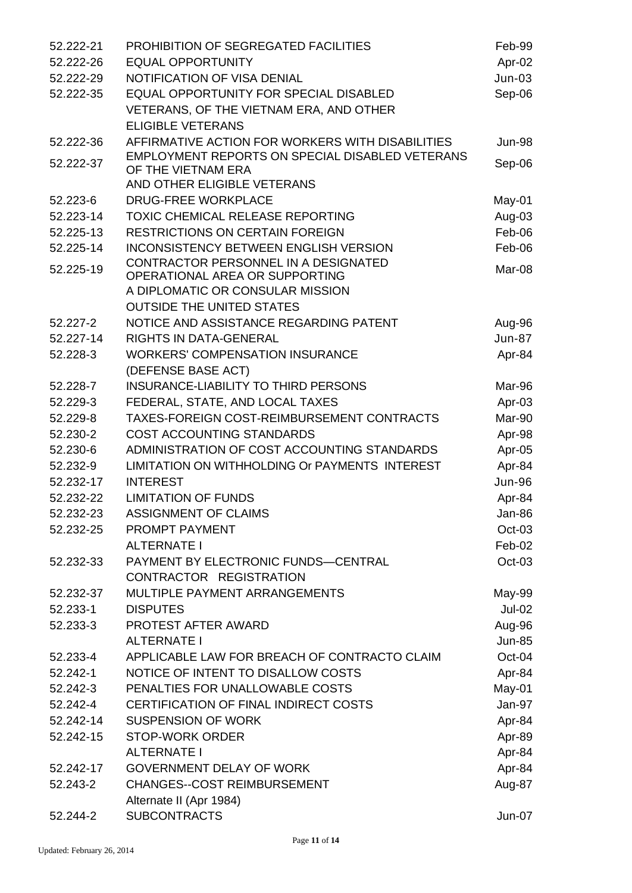| 52.222-21 | PROHIBITION OF SEGREGATED FACILITIES             | Feb-99        |
|-----------|--------------------------------------------------|---------------|
| 52.222-26 | <b>EQUAL OPPORTUNITY</b>                         | Apr-02        |
| 52.222-29 | NOTIFICATION OF VISA DENIAL                      | $Jun-03$      |
| 52.222-35 | EQUAL OPPORTUNITY FOR SPECIAL DISABLED           | Sep-06        |
|           | VETERANS, OF THE VIETNAM ERA, AND OTHER          |               |
|           | <b>ELIGIBLE VETERANS</b>                         |               |
| 52.222-36 | AFFIRMATIVE ACTION FOR WORKERS WITH DISABILITIES | <b>Jun-98</b> |
| 52.222-37 | EMPLOYMENT REPORTS ON SPECIAL DISABLED VETERANS  |               |
|           | OF THE VIETNAM ERA                               | Sep-06        |
|           | AND OTHER ELIGIBLE VETERANS                      |               |
| 52.223-6  | <b>DRUG-FREE WORKPLACE</b>                       | May-01        |
| 52.223-14 | TOXIC CHEMICAL RELEASE REPORTING                 | Aug-03        |
| 52.225-13 | <b>RESTRICTIONS ON CERTAIN FOREIGN</b>           | Feb-06        |
| 52.225-14 | <b>INCONSISTENCY BETWEEN ENGLISH VERSION</b>     | Feb-06        |
| 52.225-19 | CONTRACTOR PERSONNEL IN A DESIGNATED             | Mar-08        |
|           | OPERATIONAL AREA OR SUPPORTING                   |               |
|           | A DIPLOMATIC OR CONSULAR MISSION                 |               |
|           | <b>OUTSIDE THE UNITED STATES</b>                 |               |
| 52.227-2  | NOTICE AND ASSISTANCE REGARDING PATENT           | Aug-96        |
| 52.227-14 | <b>RIGHTS IN DATA-GENERAL</b>                    | <b>Jun-87</b> |
| 52.228-3  | <b>WORKERS' COMPENSATION INSURANCE</b>           | Apr-84        |
|           | (DEFENSE BASE ACT)                               |               |
| 52.228-7  | INSURANCE-LIABILITY TO THIRD PERSONS             | Mar-96        |
| 52.229-3  | FEDERAL, STATE, AND LOCAL TAXES                  | Apr-03        |
| 52.229-8  | TAXES-FOREIGN COST-REIMBURSEMENT CONTRACTS       | Mar-90        |
| 52.230-2  | COST ACCOUNTING STANDARDS                        | Apr-98        |
| 52.230-6  | ADMINISTRATION OF COST ACCOUNTING STANDARDS      | Apr-05        |
| 52.232-9  | LIMITATION ON WITHHOLDING Or PAYMENTS INTEREST   | Apr-84        |
| 52.232-17 | <b>INTEREST</b>                                  | <b>Jun-96</b> |
| 52.232-22 | <b>LIMITATION OF FUNDS</b>                       | Apr-84        |
| 52.232-23 | <b>ASSIGNMENT OF CLAIMS</b>                      | Jan-86        |
| 52.232-25 | PROMPT PAYMENT                                   | Oct-03        |
|           | <b>ALTERNATE I</b>                               | Feb-02        |
| 52.232-33 | PAYMENT BY ELECTRONIC FUNDS-CENTRAL              | Oct-03        |
|           | CONTRACTOR REGISTRATION                          |               |
| 52.232-37 | MULTIPLE PAYMENT ARRANGEMENTS                    | May-99        |
| 52.233-1  | <b>DISPUTES</b>                                  | $Jul-02$      |
| 52.233-3  | PROTEST AFTER AWARD                              | Aug-96        |
|           | <b>ALTERNATE I</b>                               | <b>Jun-85</b> |
| 52.233-4  | APPLICABLE LAW FOR BREACH OF CONTRACTO CLAIM     | Oct-04        |
| 52.242-1  | NOTICE OF INTENT TO DISALLOW COSTS               | Apr-84        |
| 52.242-3  | PENALTIES FOR UNALLOWABLE COSTS                  | May-01        |
| 52.242-4  | CERTIFICATION OF FINAL INDIRECT COSTS            | Jan-97        |
| 52.242-14 | <b>SUSPENSION OF WORK</b>                        | Apr-84        |
| 52.242-15 | <b>STOP-WORK ORDER</b>                           | Apr-89        |
|           | <b>ALTERNATE I</b>                               | Apr-84        |
| 52.242-17 | <b>GOVERNMENT DELAY OF WORK</b>                  | Apr-84        |
| 52.243-2  | <b>CHANGES--COST REIMBURSEMENT</b>               | Aug-87        |
|           | Alternate II (Apr 1984)                          |               |
| 52.244-2  | <b>SUBCONTRACTS</b>                              | Jun-07        |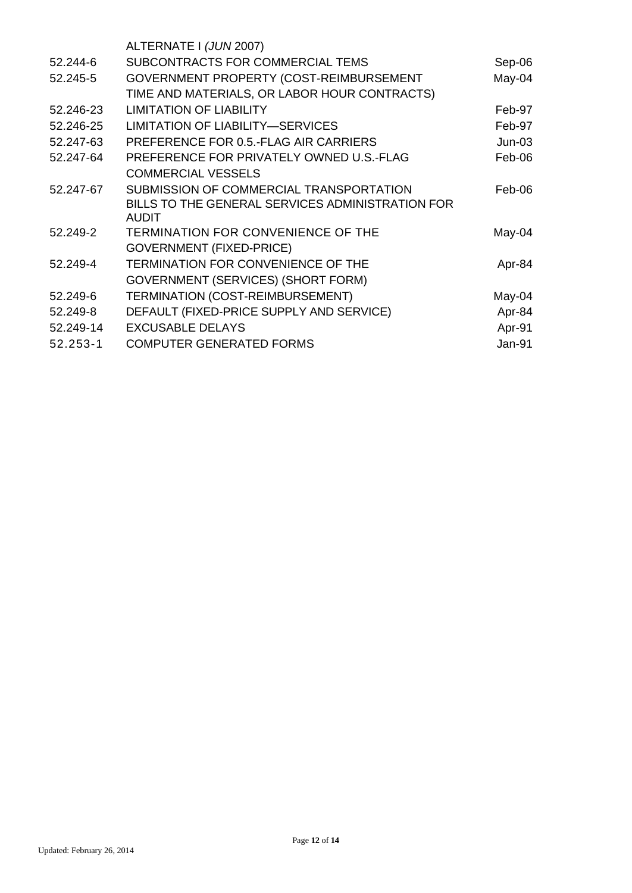|           | ALTERNATE I (JUN 2007)                                           |               |
|-----------|------------------------------------------------------------------|---------------|
| 52.244-6  | SUBCONTRACTS FOR COMMERCIAL TEMS                                 | Sep-06        |
| 52.245-5  | GOVERNMENT PROPERTY (COST-REIMBURSEMENT                          | May-04        |
|           | TIME AND MATERIALS, OR LABOR HOUR CONTRACTS)                     |               |
| 52.246-23 | <b>LIMITATION OF LIABILITY</b>                                   | Feb-97        |
| 52.246-25 | <b>LIMITATION OF LIABILITY-SERVICES</b>                          | Feb-97        |
| 52.247-63 | PREFERENCE FOR 0.5.-FLAG AIR CARRIERS                            | $Jun-03$      |
| 52.247-64 | PREFERENCE FOR PRIVATELY OWNED U.S.-FLAG                         | Feb-06        |
|           | <b>COMMERCIAL VESSELS</b>                                        |               |
| 52.247-67 | SUBMISSION OF COMMERCIAL TRANSPORTATION                          | Feb-06        |
|           | BILLS TO THE GENERAL SERVICES ADMINISTRATION FOR<br><b>AUDIT</b> |               |
| 52.249-2  | TERMINATION FOR CONVENIENCE OF THE                               | May-04        |
|           | <b>GOVERNMENT (FIXED-PRICE)</b>                                  |               |
| 52.249-4  | TERMINATION FOR CONVENIENCE OF THE                               | Apr-84        |
|           | <b>GOVERNMENT (SERVICES) (SHORT FORM)</b>                        |               |
| 52.249-6  | TERMINATION (COST-REIMBURSEMENT)                                 | May-04        |
| 52.249-8  | DEFAULT (FIXED-PRICE SUPPLY AND SERVICE)                         | Apr-84        |
| 52.249-14 | <b>EXCUSABLE DELAYS</b>                                          | Apr-91        |
| 52.253-1  | <b>COMPUTER GENERATED FORMS</b>                                  | <b>Jan-91</b> |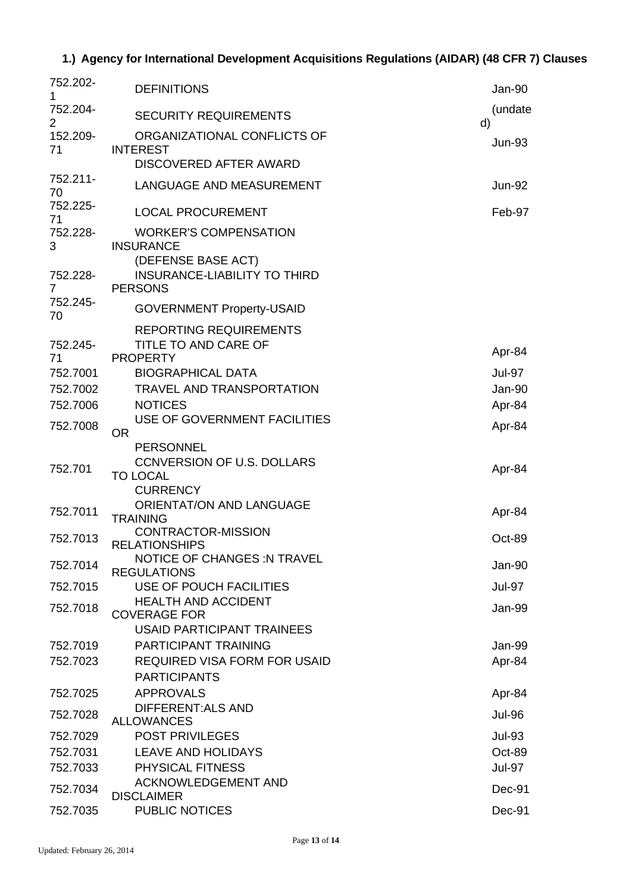# **1.) Agency for International Development Acquisitions Regulations (AIDAR) (48 CFR 7) Clauses**

| 752.202-<br>1              | <b>DEFINITIONS</b>                                                          | Jan-90        |
|----------------------------|-----------------------------------------------------------------------------|---------------|
| 752.204-<br>$\overline{2}$ | <b>SECURITY REQUIREMENTS</b>                                                | (undate<br>d) |
| 152.209-<br>71             | ORGANIZATIONAL CONFLICTS OF<br><b>INTEREST</b>                              | <b>Jun-93</b> |
|                            | DISCOVERED AFTER AWARD                                                      |               |
| 752.211-<br>70             | LANGUAGE AND MEASUREMENT                                                    | <b>Jun-92</b> |
| 752.225-<br>71             | <b>LOCAL PROCUREMENT</b>                                                    | Feb-97        |
| 752.228-<br>3              | <b>WORKER'S COMPENSATION</b><br><b>INSURANCE</b>                            |               |
| 752.228-<br>7              | (DEFENSE BASE ACT)<br><b>INSURANCE-LIABILITY TO THIRD</b><br><b>PERSONS</b> |               |
| 752.245-<br>70             | <b>GOVERNMENT Property-USAID</b>                                            |               |
|                            | <b>REPORTING REQUIREMENTS</b>                                               |               |
| 752.245-                   | TITLE TO AND CARE OF                                                        | Apr-84        |
| 71<br>752.7001             | <b>PROPERTY</b><br><b>BIOGRAPHICAL DATA</b>                                 | <b>Jul-97</b> |
| 752.7002                   | <b>TRAVEL AND TRANSPORTATION</b>                                            | Jan-90        |
| 752.7006                   | <b>NOTICES</b>                                                              | Apr-84        |
| 752.7008                   | USE OF GOVERNMENT FACILITIES<br>OR.                                         | Apr-84        |
|                            | <b>PERSONNEL</b>                                                            |               |
| 752.701                    | <b>CCNVERSION OF U.S. DOLLARS</b><br><b>TO LOCAL</b>                        | Apr-84        |
|                            | <b>CURRENCY</b>                                                             |               |
| 752.7011                   | <b>ORIENTAT/ON AND LANGUAGE</b><br><b>TRAINING</b>                          | Apr-84        |
| 752.7013                   | <b>CONTRACTOR-MISSION</b><br><b>RELATIONSHIPS</b>                           | Oct-89        |
| 752.7014                   | <b>NOTICE OF CHANGES: N TRAVEL</b><br><b>REGULATIONS</b>                    | Jan-90        |
| 752.7015                   | USE OF POUCH FACILITIES                                                     | <b>Jul-97</b> |
| 752.7018                   | <b>HEALTH AND ACCIDENT</b><br><b>COVERAGE FOR</b>                           | Jan-99        |
|                            | <b>USAID PARTICIPANT TRAINEES</b>                                           |               |
| 752.7019                   | <b>PARTICIPANT TRAINING</b>                                                 | Jan-99        |
| 752.7023                   | <b>REQUIRED VISA FORM FOR USAID</b><br><b>PARTICIPANTS</b>                  | Apr-84        |
| 752.7025                   | <b>APPROVALS</b>                                                            | Apr-84        |
| 752.7028                   | DIFFERENT: ALS AND                                                          | <b>Jul-96</b> |
| 752.7029                   | <b>ALLOWANCES</b><br><b>POST PRIVILEGES</b>                                 | <b>Jul-93</b> |
| 752.7031                   | <b>LEAVE AND HOLIDAYS</b>                                                   | Oct-89        |
| 752.7033                   | PHYSICAL FITNESS                                                            | <b>Jul-97</b> |
| 752.7034                   | ACKNOWLEDGEMENT AND<br><b>DISCLAIMER</b>                                    | Dec-91        |
| 752.7035                   | <b>PUBLIC NOTICES</b>                                                       | Dec-91        |